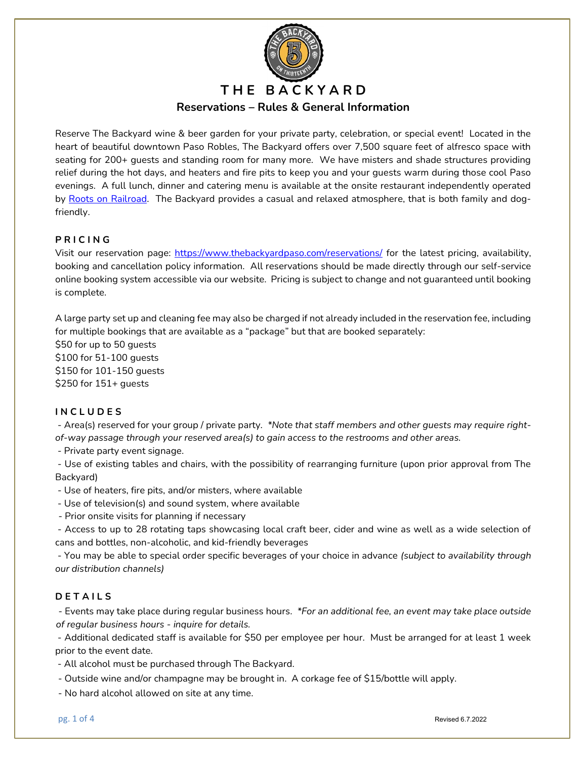

Reserve The Backyard wine & beer garden for your private party, celebration, or special event! Located in the heart of beautiful downtown Paso Robles, The Backyard offers over 7,500 square feet of alfresco space with seating for 200+ guests and standing room for many more. We have misters and shade structures providing relief during the hot days, and heaters and fire pits to keep you and your guests warm during those cool Paso evenings. A full lunch, dinner and catering menu is available at the onsite restaurant independently operated by Roots on Railroad. The Backyard provides a casual and relaxed atmosphere, that is both family and dogfriendly.

# P R I C I N G

Visit our reservation page: https://www.thebackyardpaso.com/reservations/ for the latest pricing, availability, booking and cancellation policy information. All reservations should be made directly through our self-service online booking system accessible via our website. Pricing is subject to change and not guaranteed until booking is complete.

A large party set up and cleaning fee may also be charged if not already included in the reservation fee, including for multiple bookings that are available as a "package" but that are booked separately:

\$50 for up to 50 guests \$100 for 51-100 guests \$150 for 101-150 guests \$250 for 151+ guests

## **INCLUDES**

 - Area(s) reserved for your group / private party. \*Note that staff members and other guests may require rightof-way passage through your reserved area(s) to gain access to the restrooms and other areas.

- Private party event signage.

 - Use of existing tables and chairs, with the possibility of rearranging furniture (upon prior approval from The Backyard)

- Use of heaters, fire pits, and/or misters, where available

- Use of television(s) and sound system, where available

- Prior onsite visits for planning if necessary

 - Access to up to 28 rotating taps showcasing local craft beer, cider and wine as well as a wide selection of cans and bottles, non-alcoholic, and kid-friendly beverages

 - You may be able to special order specific beverages of your choice in advance (subject to availability through our distribution channels)

## **DETAILS**

 - Events may take place during regular business hours. \*For an additional fee, an event may take place outside of regular business hours - inquire for details.

 - Additional dedicated staff is available for \$50 per employee per hour. Must be arranged for at least 1 week prior to the event date.

- All alcohol must be purchased through The Backyard.

- Outside wine and/or champagne may be brought in. A corkage fee of \$15/bottle will apply.

- No hard alcohol allowed on site at any time.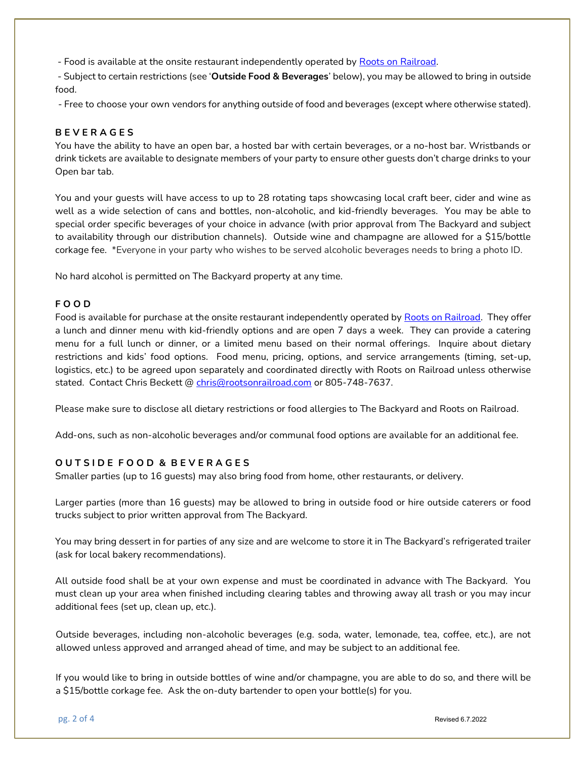- Food is available at the onsite restaurant independently operated by Roots on Railroad.

- Subject to certain restrictions (see 'Outside Food & Beverages' below), you may be allowed to bring in outside food.

- Free to choose your own vendors for anything outside of food and beverages (except where otherwise stated).

#### **BEVERAGES**

You have the ability to have an open bar, a hosted bar with certain beverages, or a no-host bar. Wristbands or drink tickets are available to designate members of your party to ensure other guests don't charge drinks to your Open bar tab.

You and your guests will have access to up to 28 rotating taps showcasing local craft beer, cider and wine as well as a wide selection of cans and bottles, non-alcoholic, and kid-friendly beverages. You may be able to special order specific beverages of your choice in advance (with prior approval from The Backyard and subject to availability through our distribution channels). Outside wine and champagne are allowed for a \$15/bottle corkage fee. \*Everyone in your party who wishes to be served alcoholic beverages needs to bring a photo ID.

No hard alcohol is permitted on The Backyard property at any time.

#### F O O D

Food is available for purchase at the onsite restaurant independently operated by Roots on Railroad. They offer a lunch and dinner menu with kid-friendly options and are open 7 days a week. They can provide a catering menu for a full lunch or dinner, or a limited menu based on their normal offerings. Inquire about dietary restrictions and kids' food options. Food menu, pricing, options, and service arrangements (timing, set-up, logistics, etc.) to be agreed upon separately and coordinated directly with Roots on Railroad unless otherwise stated. Contact Chris Beckett @ chris@rootsonrailroad.com or 805-748-7637.

Please make sure to disclose all dietary restrictions or food allergies to The Backyard and Roots on Railroad.

Add-ons, such as non-alcoholic beverages and/or communal food options are available for an additional fee.

## OUTSIDE FOOD & BEVERAGES

Smaller parties (up to 16 guests) may also bring food from home, other restaurants, or delivery.

Larger parties (more than 16 guests) may be allowed to bring in outside food or hire outside caterers or food trucks subject to prior written approval from The Backyard.

You may bring dessert in for parties of any size and are welcome to store it in The Backyard's refrigerated trailer (ask for local bakery recommendations).

All outside food shall be at your own expense and must be coordinated in advance with The Backyard. You must clean up your area when finished including clearing tables and throwing away all trash or you may incur additional fees (set up, clean up, etc.).

Outside beverages, including non-alcoholic beverages (e.g. soda, water, lemonade, tea, coffee, etc.), are not allowed unless approved and arranged ahead of time, and may be subject to an additional fee.

If you would like to bring in outside bottles of wine and/or champagne, you are able to do so, and there will be a \$15/bottle corkage fee. Ask the on-duty bartender to open your bottle(s) for you.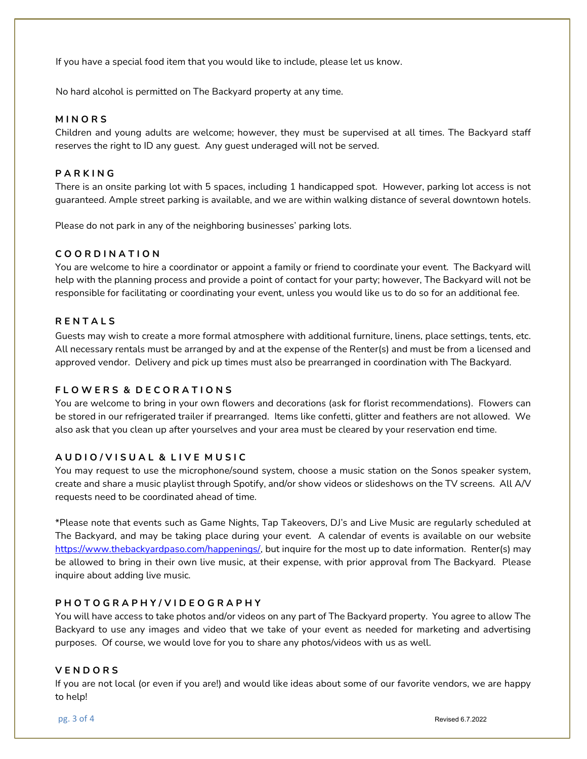If you have a special food item that you would like to include, please let us know.

No hard alcohol is permitted on The Backyard property at any time.

#### **MINORS**

Children and young adults are welcome; however, they must be supervised at all times. The Backyard staff reserves the right to ID any guest. Any guest underaged will not be served.

# **PARKING**

There is an onsite parking lot with 5 spaces, including 1 handicapped spot. However, parking lot access is not guaranteed. Ample street parking is available, and we are within walking distance of several downtown hotels.

Please do not park in any of the neighboring businesses' parking lots.

# C O O R D I N A T I O N

You are welcome to hire a coordinator or appoint a family or friend to coordinate your event. The Backyard will help with the planning process and provide a point of contact for your party; however, The Backyard will not be responsible for facilitating or coordinating your event, unless you would like us to do so for an additional fee.

## **RENTALS**

Guests may wish to create a more formal atmosphere with additional furniture, linens, place settings, tents, etc. All necessary rentals must be arranged by and at the expense of the Renter(s) and must be from a licensed and approved vendor. Delivery and pick up times must also be prearranged in coordination with The Backyard.

## FLOWERS & DECORATIONS

You are welcome to bring in your own flowers and decorations (ask for florist recommendations). Flowers can be stored in our refrigerated trailer if prearranged. Items like confetti, glitter and feathers are not allowed. We also ask that you clean up after yourselves and your area must be cleared by your reservation end time.

## A U D I O / V I S U A L & L I V E M U S I C

You may request to use the microphone/sound system, choose a music station on the Sonos speaker system, create and share a music playlist through Spotify, and/or show videos or slideshows on the TV screens. All A/V requests need to be coordinated ahead of time.

\*Please note that events such as Game Nights, Tap Takeovers, DJ's and Live Music are regularly scheduled at The Backyard, and may be taking place during your event. A calendar of events is available on our website https://www.thebackyardpaso.com/happenings/, but inquire for the most up to date information. Renter(s) may be allowed to bring in their own live music, at their expense, with prior approval from The Backyard. Please inquire about adding live music.

## P H O T O G R A P H Y / V I D E O G R A P H Y

You will have access to take photos and/or videos on any part of The Backyard property. You agree to allow The Backyard to use any images and video that we take of your event as needed for marketing and advertising purposes. Of course, we would love for you to share any photos/videos with us as well.

## **VENDORS**

If you are not local (or even if you are!) and would like ideas about some of our favorite vendors, we are happy to help!